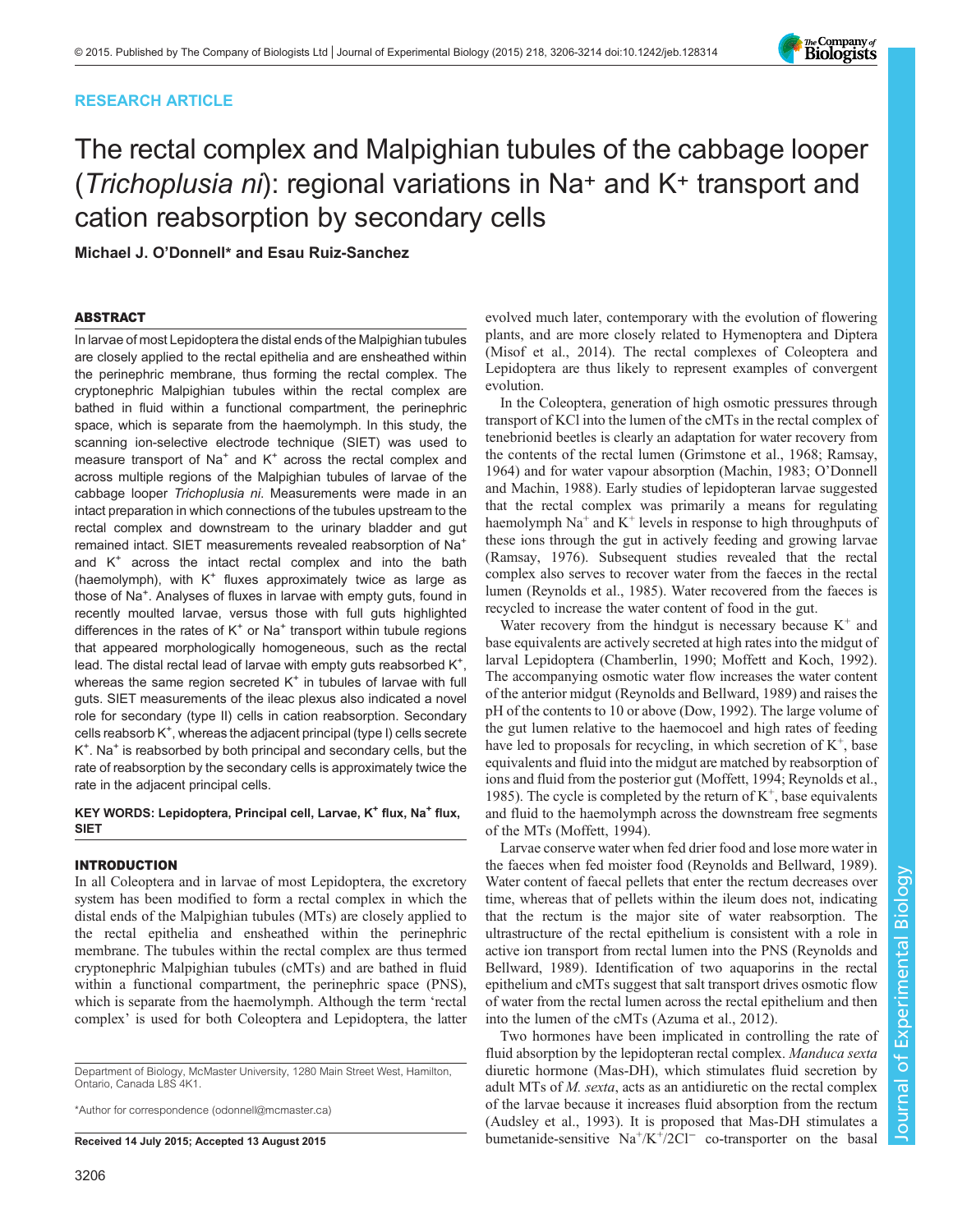# RESEARCH ARTICLE

# The rectal complex and Malpighian tubules of the cabbage looper (Trichoplusia ni): regional variations in Na+ and K+ transport and cation reabsorption by secondary cells

Michael J. O'Donnell\* and Esau Ruiz-Sanchez

### ABSTRACT

In larvae of most Lepidoptera the distal ends of the Malpighian tubules are closely applied to the rectal epithelia and are ensheathed within the perinephric membrane, thus forming the rectal complex. The cryptonephric Malpighian tubules within the rectal complex are bathed in fluid within a functional compartment, the perinephric space, which is separate from the haemolymph. In this study, the scanning ion-selective electrode technique (SIET) was used to measure transport of  $Na<sup>+</sup>$  and  $K<sup>+</sup>$  across the rectal complex and across multiple regions of the Malpighian tubules of larvae of the cabbage looper Trichoplusia ni. Measurements were made in an intact preparation in which connections of the tubules upstream to the rectal complex and downstream to the urinary bladder and gut remained intact. SIET measurements revealed reabsorption of Na+ and  $K^+$  across the intact rectal complex and into the bath (haemolymph), with  $K^+$  fluxes approximately twice as large as those of Na<sup>+</sup>. Analyses of fluxes in larvae with empty guts, found in recently moulted larvae, versus those with full guts highlighted differences in the rates of  $K^+$  or Na<sup>+</sup> transport within tubule regions that appeared morphologically homogeneous, such as the rectal lead. The distal rectal lead of larvae with empty guts reabsorbed  $K^+$ , whereas the same region secreted  $K^+$  in tubules of larvae with full guts. SIET measurements of the ileac plexus also indicated a novel role for secondary (type II) cells in cation reabsorption. Secondary cells reabsorb K<sup>+</sup>, whereas the adjacent principal (type I) cells secrete K<sup>+</sup>. Na<sup>+</sup> is reabsorbed by both principal and secondary cells, but the rate of reabsorption by the secondary cells is approximately twice the rate in the adjacent principal cells.

### KEY WORDS: Lepidoptera, Principal cell, Larvae, K<sup>+</sup> flux, Na<sup>+</sup> flux, SIET

### INTRODUCTION

In all Coleoptera and in larvae of most Lepidoptera, the excretory system has been modified to form a rectal complex in which the distal ends of the Malpighian tubules (MTs) are closely applied to the rectal epithelia and ensheathed within the perinephric membrane. The tubules within the rectal complex are thus termed cryptonephric Malpighian tubules (cMTs) and are bathed in fluid within a functional compartment, the perinephric space (PNS), which is separate from the haemolymph. Although the term 'rectal complex' is used for both Coleoptera and Lepidoptera, the latter

Department of Biology, McMaster University, 1280 Main Street West, Hamilton, Ontario, Canada L8S 4K1.

\*Author for correspondence [\(odonnell@mcmaster.ca\)](mailto:odonnell@mcmaster.ca)

evolved much later, contemporary with the evolution of flowering plants, and are more closely related to Hymenoptera and Diptera [\(Misof et al., 2014](#page-8-0)). The rectal complexes of Coleoptera and Lepidoptera are thus likely to represent examples of convergent evolution.

In the Coleoptera, generation of high osmotic pressures through transport of KCl into the lumen of the cMTs in the rectal complex of tenebrionid beetles is clearly an adaptation for water recovery from the contents of the rectal lumen ([Grimstone et al., 1968; Ramsay,](#page-8-0) [1964\)](#page-8-0) and for water vapour absorption [\(Machin, 1983](#page-8-0); O'[Donnell](#page-8-0) [and Machin, 1988](#page-8-0)). Early studies of lepidopteran larvae suggested that the rectal complex was primarily a means for regulating haemolymph  $Na<sup>+</sup>$  and  $K<sup>+</sup>$  levels in response to high throughputs of these ions through the gut in actively feeding and growing larvae [\(Ramsay, 1976\)](#page-8-0). Subsequent studies revealed that the rectal complex also serves to recover water from the faeces in the rectal lumen ([Reynolds et al., 1985](#page-8-0)). Water recovered from the faeces is recycled to increase the water content of food in the gut.

Water recovery from the hindgut is necessary because  $K^+$  and base equivalents are actively secreted at high rates into the midgut of larval Lepidoptera ([Chamberlin, 1990; Moffett and Koch, 1992\)](#page-8-0). The accompanying osmotic water flow increases the water content of the anterior midgut [\(Reynolds and Bellward, 1989](#page-8-0)) and raises the pH of the contents to 10 or above ([Dow, 1992](#page-8-0)). The large volume of the gut lumen relative to the haemocoel and high rates of feeding have led to proposals for recycling, in which secretion of  $K^+$ , base equivalents and fluid into the midgut are matched by reabsorption of ions and fluid from the posterior gut [\(Moffett, 1994](#page-8-0); [Reynolds et al.,](#page-8-0) [1985\)](#page-8-0). The cycle is completed by the return of  $K^+$ , base equivalents and fluid to the haemolymph across the downstream free segments of the MTs [\(Moffett, 1994\)](#page-8-0).

Larvae conserve water when fed drier food and lose more water in the faeces when fed moister food [\(Reynolds and Bellward, 1989\)](#page-8-0). Water content of faecal pellets that enter the rectum decreases over time, whereas that of pellets within the ileum does not, indicating that the rectum is the major site of water reabsorption. The ultrastructure of the rectal epithelium is consistent with a role in active ion transport from rectal lumen into the PNS [\(Reynolds and](#page-8-0) [Bellward, 1989](#page-8-0)). Identification of two aquaporins in the rectal epithelium and cMTs suggest that salt transport drives osmotic flow of water from the rectal lumen across the rectal epithelium and then into the lumen of the cMTs [\(Azuma et al., 2012\)](#page-7-0).

Two hormones have been implicated in controlling the rate of fluid absorption by the lepidopteran rectal complex. Manduca sexta diuretic hormone (Mas-DH), which stimulates fluid secretion by adult MTs of M. sexta, acts as an antidiuretic on the rectal complex of the larvae because it increases fluid absorption from the rectum [\(Audsley et al., 1993](#page-7-0)). It is proposed that Mas-DH stimulates a Received 14 July 2015; Accepted 13 August 2015 bumetanide-sensitive  $\text{Na}^+/K^+/2Cl^-$  co-transporter on the basal

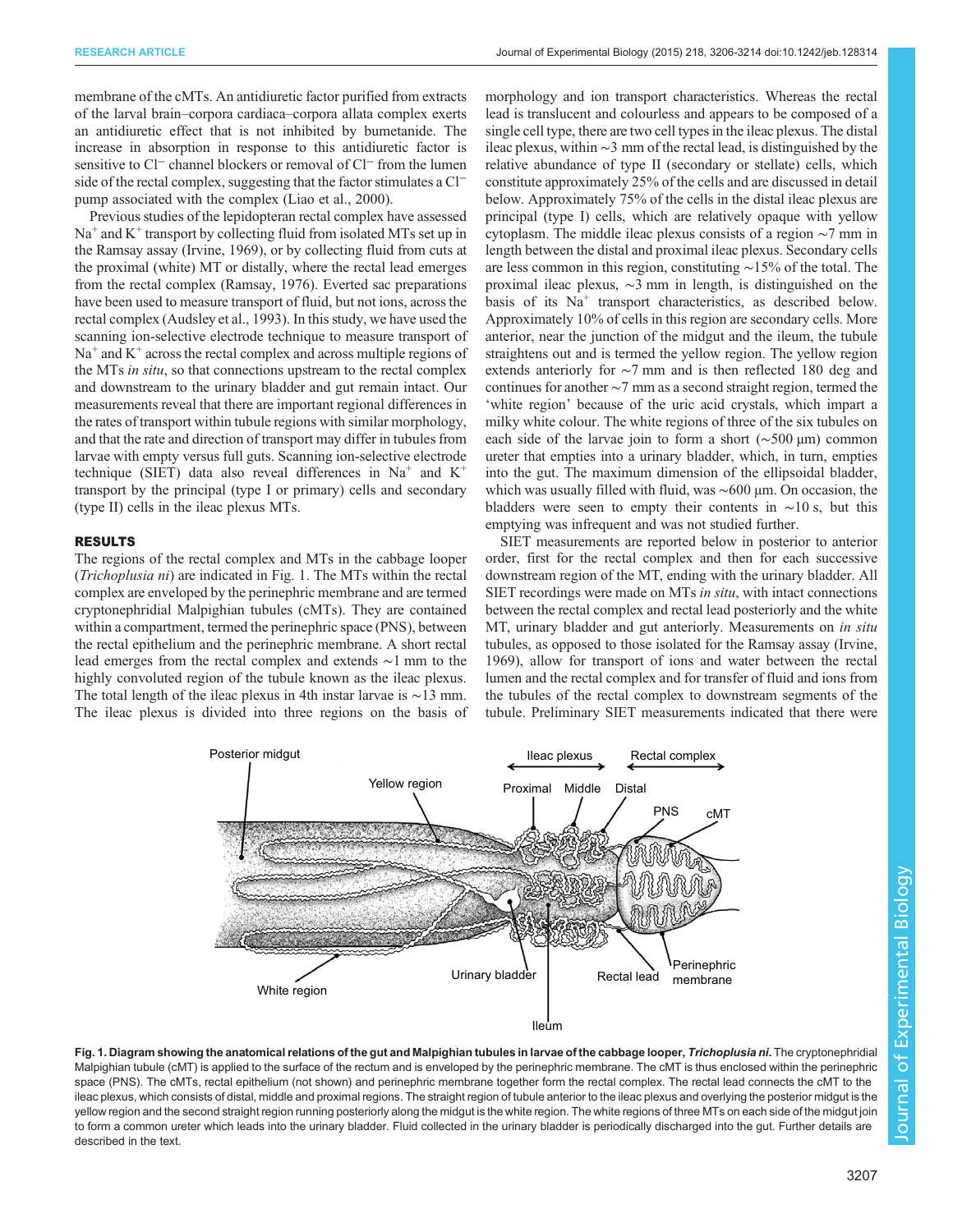<span id="page-1-0"></span>membrane of the cMTs. An antidiuretic factor purified from extracts of the larval brain–corpora cardiaca–corpora allata complex exerts an antidiuretic effect that is not inhibited by bumetanide. The increase in absorption in response to this antidiuretic factor is sensitive to Cl<sup>−</sup> channel blockers or removal of Cl<sup>−</sup> from the lumen side of the rectal complex, suggesting that the factor stimulates a Cl<sup>−</sup> pump associated with the complex ([Liao et al., 2000](#page-8-0)).

Previous studies of the lepidopteran rectal complex have assessed  $Na<sup>+</sup>$  and  $K<sup>+</sup>$  transport by collecting fluid from isolated MTs set up in the Ramsay assay ([Irvine, 1969](#page-8-0)), or by collecting fluid from cuts at the proximal (white) MT or distally, where the rectal lead emerges from the rectal complex ([Ramsay, 1976](#page-8-0)). Everted sac preparations have been used to measure transport of fluid, but not ions, across the rectal complex [\(Audsley et al., 1993](#page-7-0)). In this study, we have used the scanning ion-selective electrode technique to measure transport of  $Na<sup>+</sup>$  and  $K<sup>+</sup>$  across the rectal complex and across multiple regions of the MTs in situ, so that connections upstream to the rectal complex and downstream to the urinary bladder and gut remain intact. Our measurements reveal that there are important regional differences in the rates of transport within tubule regions with similar morphology, and that the rate and direction of transport may differ in tubules from larvae with empty versus full guts. Scanning ion-selective electrode technique (SIET) data also reveal differences in  $Na<sup>+</sup>$  and  $K<sup>+</sup>$ transport by the principal (type I or primary) cells and secondary (type II) cells in the ileac plexus MTs.

# RESULTS

The regions of the rectal complex and MTs in the cabbage looper (Trichoplusia ni) are indicated in Fig. 1. The MTs within the rectal complex are enveloped by the perinephric membrane and are termed cryptonephridial Malpighian tubules (cMTs). They are contained within a compartment, termed the perinephric space (PNS), between the rectal epithelium and the perinephric membrane. A short rectal lead emerges from the rectal complex and extends ∼1 mm to the highly convoluted region of the tubule known as the ileac plexus. The total length of the ileac plexus in 4th instar larvae is ∼13 mm. The ileac plexus is divided into three regions on the basis of morphology and ion transport characteristics. Whereas the rectal lead is translucent and colourless and appears to be composed of a single cell type, there are two cell types in the ileac plexus. The distal ileac plexus, within ∼3 mm of the rectal lead, is distinguished by the relative abundance of type II (secondary or stellate) cells, which constitute approximately 25% of the cells and are discussed in detail below. Approximately 75% of the cells in the distal ileac plexus are principal (type I) cells, which are relatively opaque with yellow cytoplasm. The middle ileac plexus consists of a region ∼7 mm in length between the distal and proximal ileac plexus. Secondary cells are less common in this region, constituting ∼15% of the total. The proximal ileac plexus, ∼3 mm in length, is distinguished on the basis of its Na<sup>+</sup> transport characteristics, as described below. Approximately 10% of cells in this region are secondary cells. More anterior, near the junction of the midgut and the ileum, the tubule straightens out and is termed the yellow region. The yellow region extends anteriorly for ∼7 mm and is then reflected 180 deg and continues for another ∼7 mm as a second straight region, termed the 'white region' because of the uric acid crystals, which impart a milky white colour. The white regions of three of the six tubules on each side of the larvae join to form a short (∼500 μm) common ureter that empties into a urinary bladder, which, in turn, empties into the gut. The maximum dimension of the ellipsoidal bladder, which was usually filled with fluid, was ~600 μm. On occasion, the bladders were seen to empty their contents in  $~\sim 10$  s, but this emptying was infrequent and was not studied further.

SIET measurements are reported below in posterior to anterior order, first for the rectal complex and then for each successive downstream region of the MT, ending with the urinary bladder. All SIET recordings were made on MTs in situ, with intact connections between the rectal complex and rectal lead posteriorly and the white MT, urinary bladder and gut anteriorly. Measurements on *in situ* tubules, as opposed to those isolated for the Ramsay assay [\(Irvine,](#page-8-0) [1969\)](#page-8-0), allow for transport of ions and water between the rectal lumen and the rectal complex and for transfer of fluid and ions from the tubules of the rectal complex to downstream segments of the tubule. Preliminary SIET measurements indicated that there were



Fig. 1. Diagram showing the anatomical relations of the gut and Malpighian tubules in larvae of the cabbage looper, Trichoplusia ni. The cryptonephridial Malpighian tubule (cMT) is applied to the surface of the rectum and is enveloped by the perinephric membrane. The cMT is thus enclosed within the perinephric space (PNS). The cMTs, rectal epithelium (not shown) and perinephric membrane together form the rectal complex. The rectal lead connects the cMT to the ileac plexus, which consists of distal, middle and proximal regions. The straight region of tubule anterior to the ileac plexus and overlying the posterior midgut is the yellow region and the second straight region running posteriorly along the midgut is the white region. The white regions of three MTs on each side of the midgut join to form a common ureter which leads into the urinary bladder. Fluid collected in the urinary bladder is periodically discharged into the gut. Further details are described in the text.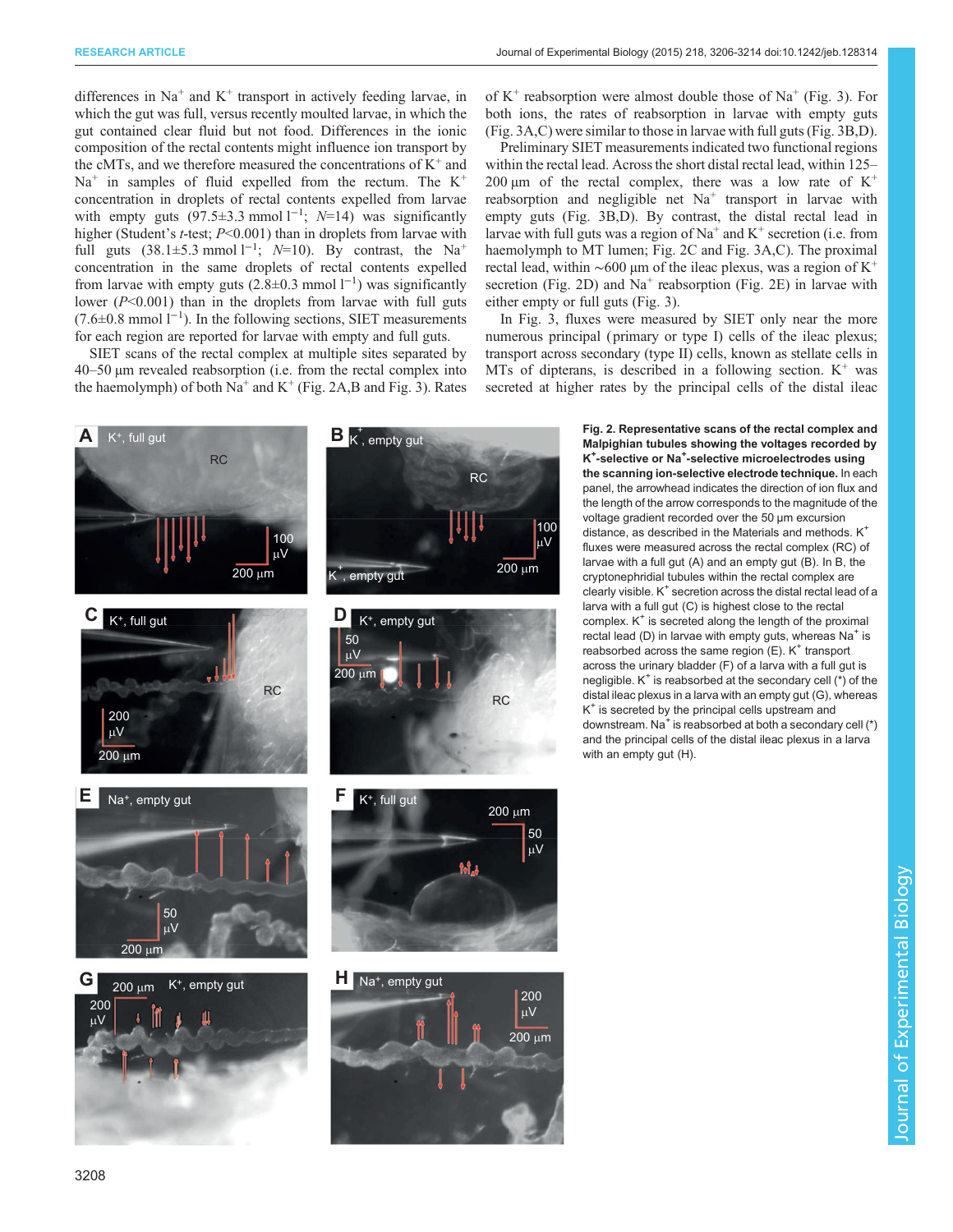<span id="page-2-0"></span>differences in  $Na<sup>+</sup>$  and  $K<sup>+</sup>$  transport in actively feeding larvae, in which the gut was full, versus recently moulted larvae, in which the gut contained clear fluid but not food. Differences in the ionic composition of the rectal contents might influence ion transport by the cMTs, and we therefore measured the concentrations of  $K^+$  and  $Na<sup>+</sup>$  in samples of fluid expelled from the rectum. The  $K<sup>+</sup>$ concentration in droplets of rectal contents expelled from larvae with empty guts  $(97.5\pm3.3 \text{ mmol l}^{-1})$ ; N=14) was significantly higher (Student's *t*-test; *P*<0.001) than in droplets from larvae with full guts  $(38.1\pm5.3 \text{ mmol }1^{-1}; N=10)$ . By contrast, the Na<sup>+</sup> concentration in the same droplets of rectal contents expelled from larvae with empty guts  $(2.8\pm0.3 \text{ mmol l}^{-1})$  was significantly lower  $(P<0.001)$  than in the droplets from larvae with full guts (7.6±0.8 mmol l−<sup>1</sup> ). In the following sections, SIET measurements for each region are reported for larvae with empty and full guts.

SIET scans of the rectal complex at multiple sites separated by 40–50 µm revealed reabsorption (i.e. from the rectal complex into the haemolymph) of both  $Na^+$  and  $K^+$  (Fig. 2A,B and [Fig. 3\)](#page-3-0). Rates

**C**  $_K$  t<sub>h</sub> full gut **D E** Na<sup>+</sup>, empty gut 200 µV 200 µm 100 µV RC RC









of  $K^+$  reabsorption were almost double those of  $Na^+$  ([Fig. 3\)](#page-3-0). For both ions, the rates of reabsorption in larvae with empty guts [\(Fig. 3](#page-3-0)A,C) were similar to those in larvae with full guts ([Fig. 3B](#page-3-0),D).

Preliminary SIET measurements indicated two functional regions within the rectal lead. Across the short distal rectal lead, within 125– 200  $\mu$ m of the rectal complex, there was a low rate of K<sup>+</sup> reabsorption and negligible net  $Na<sup>+</sup>$  transport in larvae with empty guts ([Fig. 3](#page-3-0)B,D). By contrast, the distal rectal lead in larvae with full guts was a region of  $Na^+$  and  $K^+$  secretion (i.e. from haemolymph to MT lumen; Fig. 2C and [Fig. 3](#page-3-0)A,C). The proximal rectal lead, within ~600 µm of the ileac plexus, was a region of  $K^+$ secretion (Fig. 2D) and  $Na<sup>+</sup>$  reabsorption (Fig. 2E) in larvae with either empty or full guts [\(Fig. 3\)](#page-3-0).

In [Fig. 3,](#page-3-0) fluxes were measured by SIET only near the more numerous principal (primary or type I) cells of the ileac plexus; transport across secondary (type II) cells, known as stellate cells in MTs of dipterans, is described in a following section.  $K^+$  was secreted at higher rates by the principal cells of the distal ileac

> Fig. 2. Representative scans of the rectal complex and Malpighian tubules showing the voltages recorded by K<sup>+</sup>-selective or Na<sup>+</sup>-selective microelectrodes using the scanning ion-selective electrode technique. In each panel, the arrowhead indicates the direction of ion flux and the length of the arrow corresponds to the magnitude of the voltage gradient recorded over the 50 µm excursion distance, as described in the Materials and methods. K<sup>+</sup> fluxes were measured across the rectal complex (RC) of larvae with a full gut (A) and an empty gut (B). In B, the cryptonephridial tubules within the rectal complex are clearly visible.  $K^+$  secretion across the distal rectal lead of a larva with a full gut (C) is highest close to the rectal complex.  $K^+$  is secreted along the length of the proximal rectal lead (D) in larvae with empty guts, whereas  $Na<sup>+</sup>$  is reabsorbed across the same region  $(E)$ . K<sup>+</sup> transport across the urinary bladder (F) of a larva with a full gut is negligible.  $K^+$  is reabsorbed at the secondary cell  $(*)$  of the distal ileac plexus in a larva with an empty gut (G), whereas  $K^*$  is secreted by the principal cells upstream and downstream. Na<sup>+</sup> is reabsorbed at both a secondary cell  $(*)$ and the principal cells of the distal ileac plexus in a larva with an empty gut (H).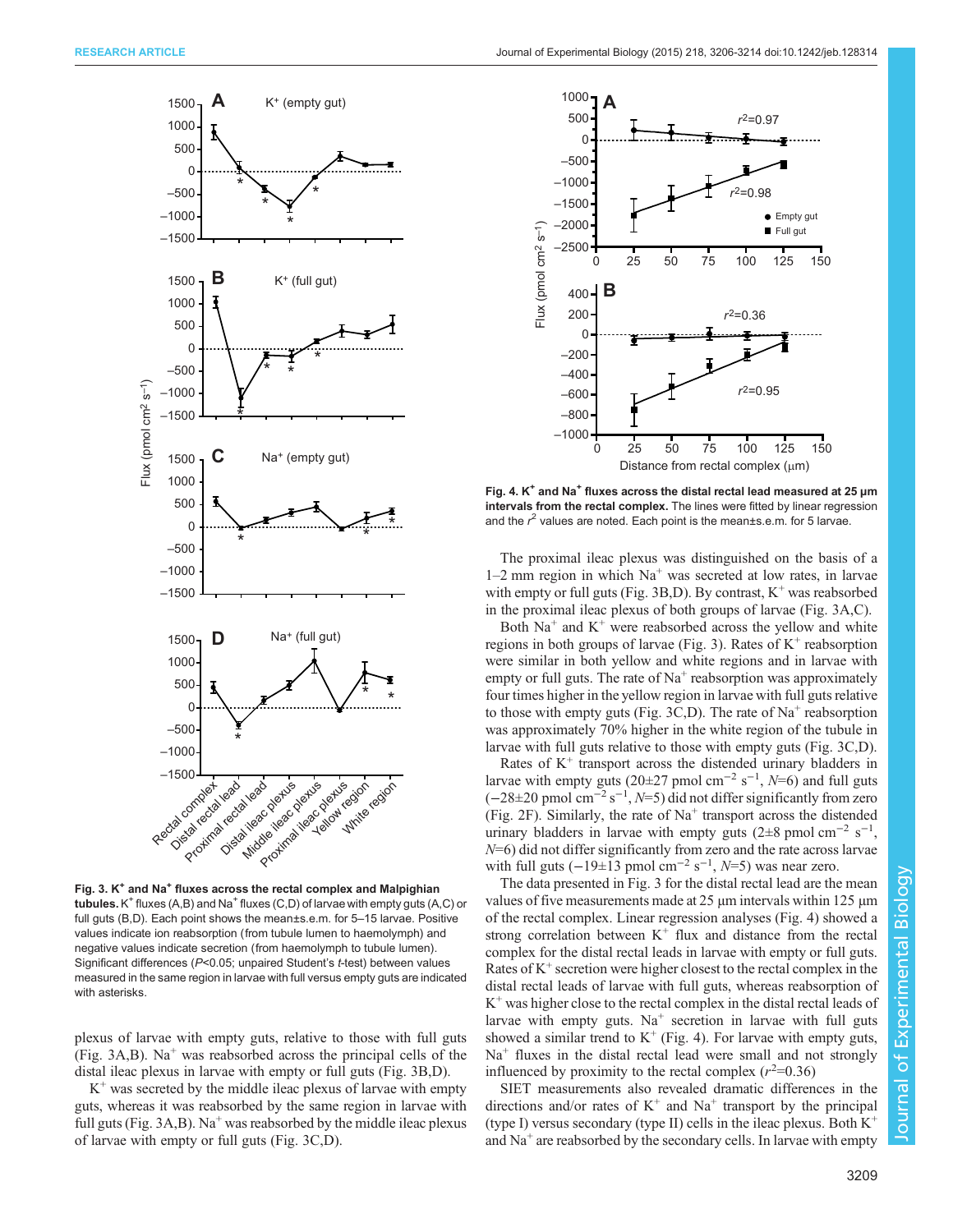<span id="page-3-0"></span>

Fig. 3.  $K^*$  and Na<sup>+</sup> fluxes across the rectal complex and Malpighian tubules.  $K^+$  fluxes (A,B) and Na<sup>+</sup> fluxes (C,D) of larvae with empty guts (A,C) or full guts (B,D). Each point shows the mean±s.e.m. for 5–15 larvae. Positive values indicate ion reabsorption (from tubule lumen to haemolymph) and negative values indicate secretion (from haemolymph to tubule lumen). Significant differences (P<0.05; unpaired Student's t-test) between values measured in the same region in larvae with full versus empty guts are indicated with asterisks

plexus of larvae with empty guts, relative to those with full guts (Fig.  $3A,B$ ). Na<sup>+</sup> was reabsorbed across the principal cells of the distal ileac plexus in larvae with empty or full guts (Fig. 3B,D).

 $K<sup>+</sup>$  was secreted by the middle ileac plexus of larvae with empty guts, whereas it was reabsorbed by the same region in larvae with full guts (Fig.  $3A,B$ ). Na<sup>+</sup> was reabsorbed by the middle ileac plexus of larvae with empty or full guts (Fig. 3C,D).



Fig. 4.  $K^+$  and Na<sup>+</sup> fluxes across the distal rectal lead measured at 25  $\mu$ m intervals from the rectal complex. The lines were fitted by linear regression and the  $r^2$  values are noted. Each point is the mean±s.e.m. for 5 larvae.

The proximal ileac plexus was distinguished on the basis of a  $1-2$  mm region in which  $Na<sup>+</sup>$  was secreted at low rates, in larvae with empty or full guts (Fig. 3B,D). By contrast,  $K^+$  was reabsorbed in the proximal ileac plexus of both groups of larvae (Fig. 3A,C).

Both  $Na<sup>+</sup>$  and  $K<sup>+</sup>$  were reabsorbed across the yellow and white regions in both groups of larvae (Fig. 3). Rates of  $K^+$  reabsorption were similar in both yellow and white regions and in larvae with empty or full guts. The rate of  $Na<sup>+</sup>$  reabsorption was approximately four times higher in the yellow region in larvae with full guts relative to those with empty guts (Fig. 3C,D). The rate of  $Na<sup>+</sup>$  reabsorption was approximately 70% higher in the white region of the tubule in larvae with full guts relative to those with empty guts (Fig. 3C,D).

Rates of  $K^+$  transport across the distended urinary bladders in larvae with empty guts (20 $\pm$ 27 pmol cm<sup>-2</sup> s<sup>-1</sup>, N=6) and full guts  $(-28\pm20 \text{ pmol cm}^{-2} \text{ s}^{-1}, N=5)$  did not differ significantly from zero [\(Fig. 2F](#page-2-0)). Similarly, the rate of  $Na<sup>+</sup>$  transport across the distended urinary bladders in larvae with empty guts (2 $\pm$ 8 pmol cm<sup>-2</sup> s<sup>-1</sup>,  $N=6$ ) did not differ significantly from zero and the rate across larvae with full guts  $(-19\pm 13 \text{ pmol cm}^{-2} \text{ s}^{-1}, N=5)$  was near zero.

The data presented in Fig. 3 for the distal rectal lead are the mean values of five measurements made at 25 µm intervals within 125 µm of the rectal complex. Linear regression analyses (Fig. 4) showed a strong correlation between  $K^+$  flux and distance from the rectal complex for the distal rectal leads in larvae with empty or full guts. Rates of  $K^+$  secretion were higher closest to the rectal complex in the distal rectal leads of larvae with full guts, whereas reabsorption of  $K^+$  was higher close to the rectal complex in the distal rectal leads of larvae with empty guts.  $Na<sup>+</sup>$  secretion in larvae with full guts showed a similar trend to  $K^+$  (Fig. 4). For larvae with empty guts,  $Na<sup>+</sup>$  fluxes in the distal rectal lead were small and not strongly influenced by proximity to the rectal complex  $(r^2=0.36)$ 

SIET measurements also revealed dramatic differences in the directions and/or rates of  $K^+$  and  $Na^+$  transport by the principal (type I) versus secondary (type II) cells in the ileac plexus. Both K<sup>+</sup> and  $Na<sup>+</sup>$  are reabsorbed by the secondary cells. In larvae with empty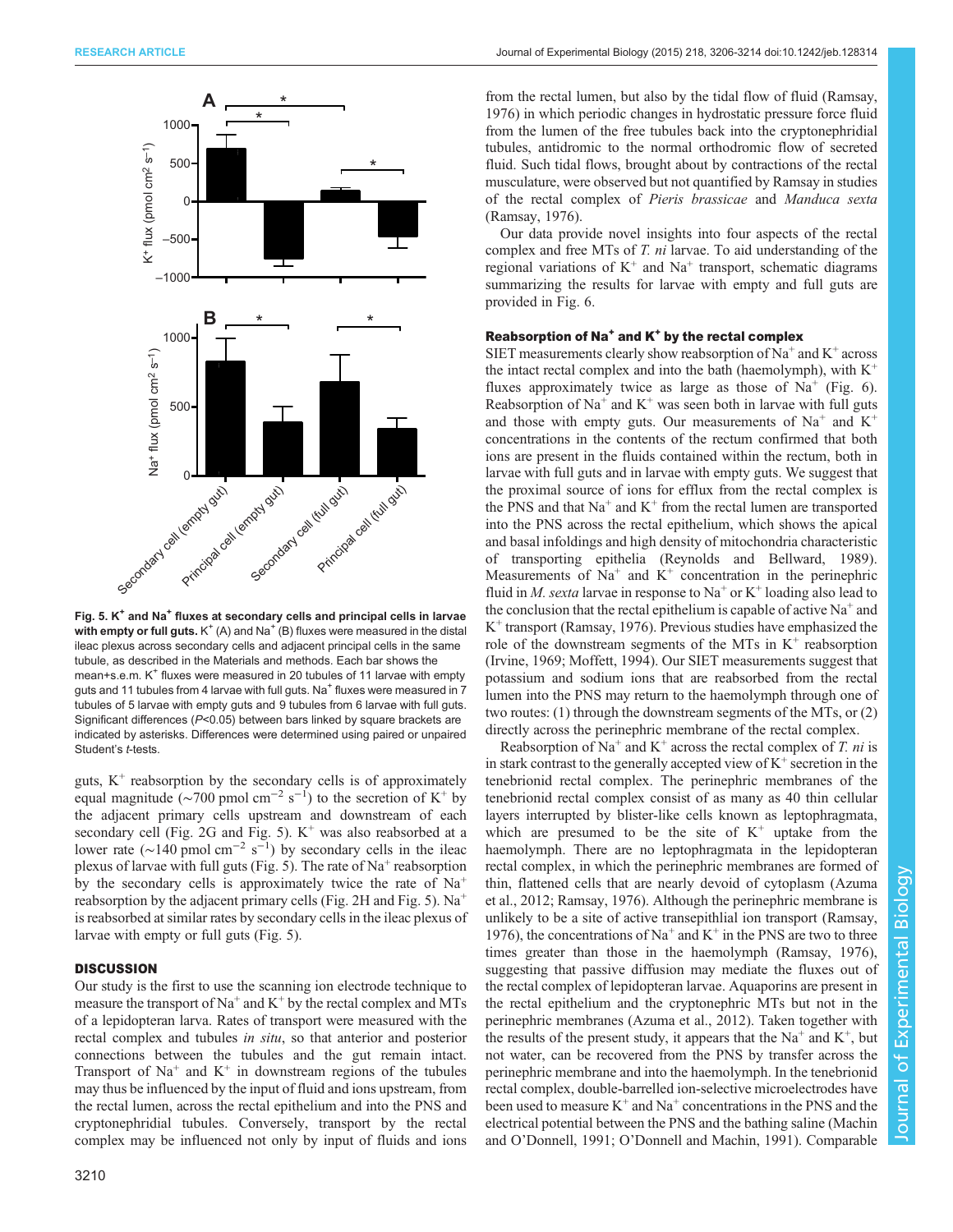

Fig. 5.  $K^+$  and Na<sup>+</sup> fluxes at secondary cells and principal cells in larvae with empty or full guts.  $K^+(A)$  and Na<sup>+</sup> (B) fluxes were measured in the distal ileac plexus across secondary cells and adjacent principal cells in the same tubule, as described in the Materials and methods. Each bar shows the mean+s.e.m.  $K^+$  fluxes were measured in 20 tubules of 11 larvae with empty guts and 11 tubules from 4 larvae with full guts. Na<sup>+</sup> fluxes were measured in 7 tubules of 5 larvae with empty guts and 9 tubules from 6 larvae with full guts. Significant differences (P<0.05) between bars linked by square brackets are indicated by asterisks. Differences were determined using paired or unpaired Student's t-tests.

guts,  $K^+$  reabsorption by the secondary cells is of approximately equal magnitude ( $\sim$ 700 pmol cm<sup>-2</sup> s<sup>-1</sup>) to the secretion of K<sup>+</sup> by the adjacent primary cells upstream and downstream of each secondary cell [\(Fig. 2](#page-2-0)G and Fig. 5).  $K^+$  was also reabsorbed at a lower rate ( $\sim$ 140 pmol cm<sup>-2</sup> s<sup>-1</sup>) by secondary cells in the ileac plexus of larvae with full guts (Fig. 5). The rate of  $Na<sup>+</sup>$  reabsorption by the secondary cells is approximately twice the rate of  $Na<sup>+</sup>$ reabsorption by the adjacent primary cells [\(Fig. 2](#page-2-0)H and Fig. 5).  $Na<sup>+</sup>$ is reabsorbed at similar rates by secondary cells in the ileac plexus of larvae with empty or full guts (Fig. 5).

### **DISCUSSION**

Our study is the first to use the scanning ion electrode technique to measure the transport of  $Na^+$  and  $K^+$  by the rectal complex and MTs of a lepidopteran larva. Rates of transport were measured with the rectal complex and tubules in situ, so that anterior and posterior connections between the tubules and the gut remain intact. Transport of  $Na<sup>+</sup>$  and  $K<sup>+</sup>$  in downstream regions of the tubules may thus be influenced by the input of fluid and ions upstream, from the rectal lumen, across the rectal epithelium and into the PNS and cryptonephridial tubules. Conversely, transport by the rectal complex may be influenced not only by input of fluids and ions

from the rectal lumen, but also by the tidal flow of fluid ([Ramsay,](#page-8-0) [1976\)](#page-8-0) in which periodic changes in hydrostatic pressure force fluid from the lumen of the free tubules back into the cryptonephridial tubules, antidromic to the normal orthodromic flow of secreted fluid. Such tidal flows, brought about by contractions of the rectal musculature, were observed but not quantified by Ramsay in studies of the rectal complex of Pieris brassicae and Manduca sexta [\(Ramsay, 1976](#page-8-0)).

Our data provide novel insights into four aspects of the rectal complex and free MTs of T. ni larvae. To aid understanding of the regional variations of  $K^+$  and  $Na^+$  transport, schematic diagrams summarizing the results for larvae with empty and full guts are provided in [Fig. 6](#page-5-0).

### Reabsorption of  $Na<sup>+</sup>$  and  $K<sup>+</sup>$  by the rectal complex

SIET measurements clearly show reabsorption of  $Na^+$  and  $K^+$  across the intact rectal complex and into the bath (haemolymph), with  $K^+$ fluxes approximately twice as large as those of  $Na<sup>+</sup>$  ([Fig. 6\)](#page-5-0). Reabsorption of Na<sup>+</sup> and K<sup>+</sup> was seen both in larvae with full guts and those with empty guts. Our measurements of  $Na<sup>+</sup>$  and  $K<sup>+</sup>$ concentrations in the contents of the rectum confirmed that both ions are present in the fluids contained within the rectum, both in larvae with full guts and in larvae with empty guts. We suggest that the proximal source of ions for efflux from the rectal complex is the PNS and that  $Na<sup>+</sup>$  and  $K<sup>+</sup>$  from the rectal lumen are transported into the PNS across the rectal epithelium, which shows the apical and basal infoldings and high density of mitochondria characteristic of transporting epithelia [\(Reynolds and Bellward, 1989\)](#page-8-0). Measurements of  $Na<sup>+</sup>$  and  $K<sup>+</sup>$  concentration in the perinephric fluid in *M. sexta* larvae in response to Na<sup>+</sup> or K<sup>+</sup> loading also lead to the conclusion that the rectal epithelium is capable of active  $Na<sup>+</sup>$  and  $K^+$  transport [\(Ramsay, 1976\)](#page-8-0). Previous studies have emphasized the role of the downstream segments of the MTs in  $K^+$  reabsorption [\(Irvine, 1969; Moffett, 1994\)](#page-8-0). Our SIET measurements suggest that potassium and sodium ions that are reabsorbed from the rectal lumen into the PNS may return to the haemolymph through one of two routes: (1) through the downstream segments of the MTs, or (2) directly across the perinephric membrane of the rectal complex.

Reabsorption of Na<sup>+</sup> and K<sup>+</sup> across the rectal complex of T, ni is in stark contrast to the generally accepted view of  $K^+$  secretion in the tenebrionid rectal complex. The perinephric membranes of the tenebrionid rectal complex consist of as many as 40 thin cellular layers interrupted by blister-like cells known as leptophragmata, which are presumed to be the site of  $K^+$  uptake from the haemolymph. There are no leptophragmata in the lepidopteran rectal complex, in which the perinephric membranes are formed of thin, flattened cells that are nearly devoid of cytoplasm ([Azuma](#page-7-0) [et al., 2012;](#page-7-0) [Ramsay, 1976\)](#page-8-0). Although the perinephric membrane is unlikely to be a site of active transepithlial ion transport ([Ramsay,](#page-8-0) [1976\)](#page-8-0), the concentrations of  $Na^+$  and  $K^+$  in the PNS are two to three times greater than those in the haemolymph ([Ramsay, 1976\)](#page-8-0), suggesting that passive diffusion may mediate the fluxes out of the rectal complex of lepidopteran larvae. Aquaporins are present in the rectal epithelium and the cryptonephric MTs but not in the perinephric membranes ([Azuma et al., 2012](#page-7-0)). Taken together with the results of the present study, it appears that the  $Na<sup>+</sup>$  and  $K<sup>+</sup>$ , but not water, can be recovered from the PNS by transfer across the perinephric membrane and into the haemolymph. In the tenebrionid rectal complex, double-barrelled ion-selective microelectrodes have been used to measure  $K^+$  and  $Na^+$  concentrations in the PNS and the electrical potential between the PNS and the bathing saline [\(Machin](#page-8-0) and O'[Donnell, 1991;](#page-8-0) O'[Donnell and Machin, 1991](#page-8-0)). Comparable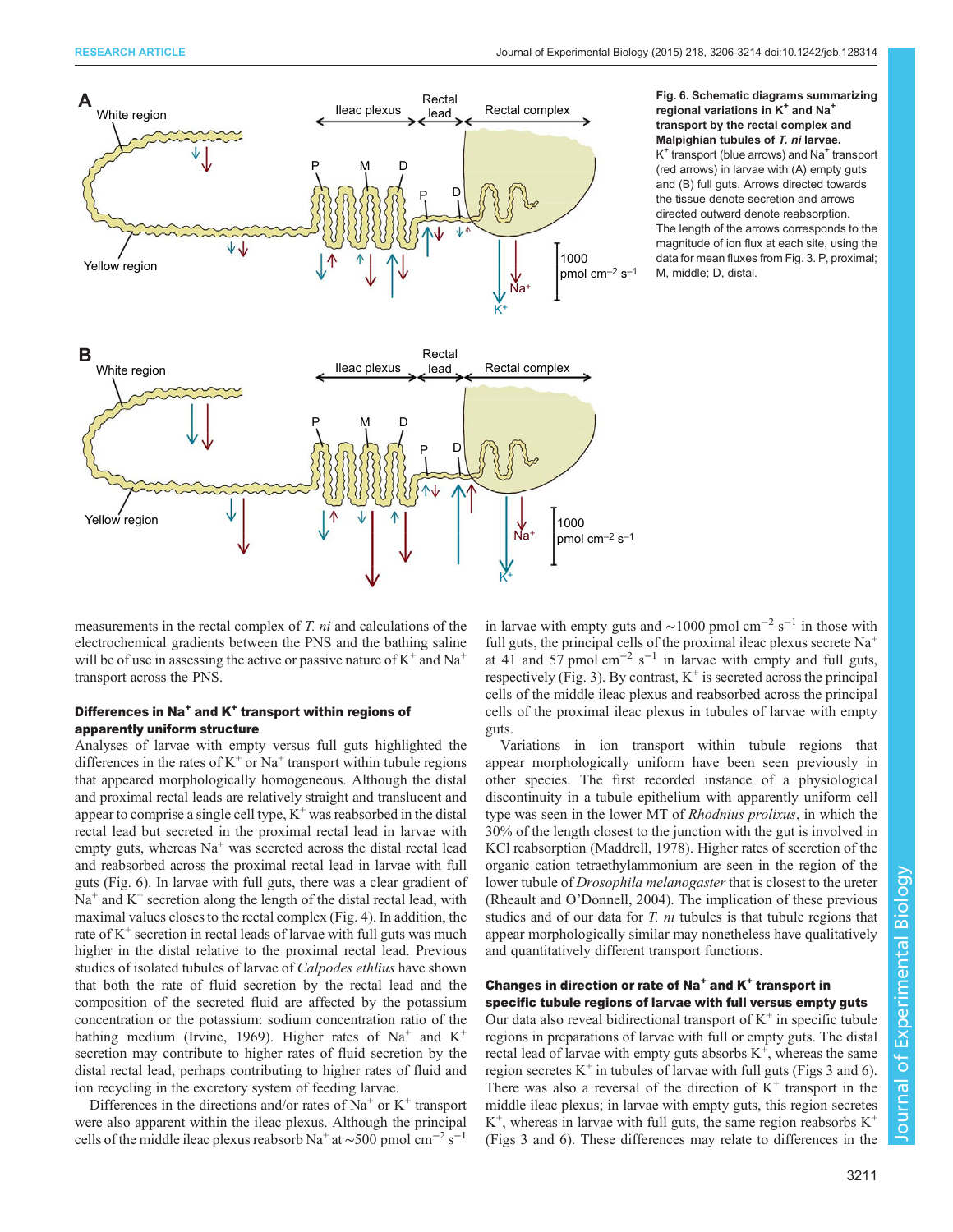<span id="page-5-0"></span>

### Fig. 6. Schematic diagrams summarizing regional variations in K<sup>+</sup> and Na<sup>+</sup> transport by the rectal complex and Malpighian tubules of T. ni larvae.

 $K^+$  transport (blue arrows) and Na<sup>+</sup> transport (red arrows) in larvae with (A) empty guts and (B) full guts. Arrows directed towards the tissue denote secretion and arrows directed outward denote reabsorption. The length of the arrows corresponds to the magnitude of ion flux at each site, using the data for mean fluxes from [Fig. 3](#page-3-0). P, proximal; M, middle; D, distal.

measurements in the rectal complex of T. ni and calculations of the electrochemical gradients between the PNS and the bathing saline will be of use in assessing the active or passive nature of  $K^+$  and  $Na^+$ transport across the PNS.

### Differences in Na<sup>+</sup> and K<sup>+</sup> transport within regions of apparently uniform structure

Analyses of larvae with empty versus full guts highlighted the differences in the rates of  $K^+$  or  $Na^+$  transport within tubule regions that appeared morphologically homogeneous. Although the distal and proximal rectal leads are relatively straight and translucent and appear to comprise a single cell type,  $K^+$  was reabsorbed in the distal rectal lead but secreted in the proximal rectal lead in larvae with empty guts, whereas  $Na<sup>+</sup>$  was secreted across the distal rectal lead and reabsorbed across the proximal rectal lead in larvae with full guts (Fig. 6). In larvae with full guts, there was a clear gradient of  $Na<sup>+</sup>$  and  $K<sup>+</sup>$  secretion along the length of the distal rectal lead, with maximal values closes to the rectal complex [\(Fig. 4\)](#page-3-0). In addition, the rate of  $K^+$  secretion in rectal leads of larvae with full guts was much higher in the distal relative to the proximal rectal lead. Previous studies of isolated tubules of larvae of Calpodes ethlius have shown that both the rate of fluid secretion by the rectal lead and the composition of the secreted fluid are affected by the potassium concentration or the potassium: sodium concentration ratio of the bathing medium [\(Irvine, 1969\)](#page-8-0). Higher rates of Na<sup>+</sup> and K<sup>+</sup> secretion may contribute to higher rates of fluid secretion by the distal rectal lead, perhaps contributing to higher rates of fluid and ion recycling in the excretory system of feeding larvae.

Differences in the directions and/or rates of  $Na<sup>+</sup>$  or  $K<sup>+</sup>$  transport were also apparent within the ileac plexus. Although the principal cells of the middle ileac plexus reabsorb Na<sup>+</sup> at ~500 pmol cm<sup>-2</sup> s<sup>-1</sup>

in larvae with empty guts and ~1000 pmol cm<sup>-2</sup> s<sup>-1</sup> in those with full guts, the principal cells of the proximal ileac plexus secrete  $Na<sup>+</sup>$ at 41 and 57 pmol cm<sup>-2</sup> s<sup>-1</sup> in larvae with empty and full guts, respectively [\(Fig. 3\)](#page-3-0). By contrast,  $K^+$  is secreted across the principal cells of the middle ileac plexus and reabsorbed across the principal cells of the proximal ileac plexus in tubules of larvae with empty guts.

Variations in ion transport within tubule regions that appear morphologically uniform have been seen previously in other species. The first recorded instance of a physiological discontinuity in a tubule epithelium with apparently uniform cell type was seen in the lower MT of Rhodnius prolixus, in which the 30% of the length closest to the junction with the gut is involved in KCl reabsorption [\(Maddrell, 1978](#page-8-0)). Higher rates of secretion of the organic cation tetraethylammonium are seen in the region of the lower tubule of *Drosophila melanogaster* that is closest to the ureter [\(Rheault and O](#page-8-0)'Donnell, 2004). The implication of these previous studies and of our data for  $T$ .  $ni$  tubules is that tubule regions that appear morphologically similar may nonetheless have qualitatively and quantitatively different transport functions.

# Changes in direction or rate of Na<sup>+</sup> and K<sup>+</sup> transport in specific tubule regions of larvae with full versus empty guts

Our data also reveal bidirectional transport of  $K^+$  in specific tubule regions in preparations of larvae with full or empty guts. The distal rectal lead of larvae with empty guts absorbs  $K^+$ , whereas the same region secretes  $K^+$  in tubules of larvae with full guts [\(Figs 3](#page-3-0) and 6). There was also a reversal of the direction of  $K^+$  transport in the middle ileac plexus; in larvae with empty guts, this region secretes  $K^+$ , whereas in larvae with full guts, the same region reabsorbs  $K^+$ [\(Figs 3](#page-3-0) and 6). These differences may relate to differences in the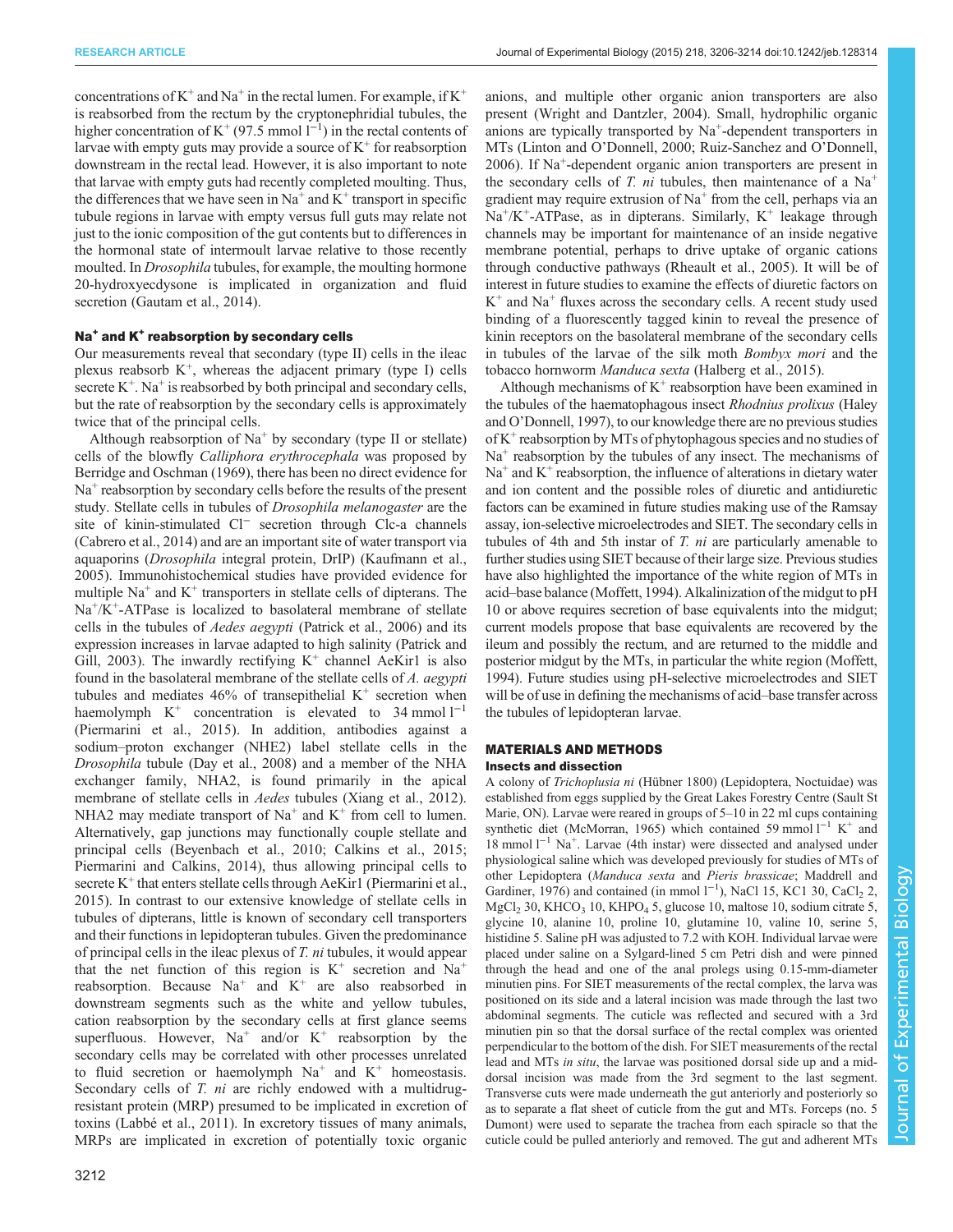concentrations of  $K^+$  and  $Na^+$  in the rectal lumen. For example, if  $K^+$ is reabsorbed from the rectum by the cryptonephridial tubules, the higher concentration of K<sup>+</sup> (97.5 mmol  $1^{-1}$ ) in the rectal contents of larvae with empty guts may provide a source of  $K^+$  for reabsorption downstream in the rectal lead. However, it is also important to note that larvae with empty guts had recently completed moulting. Thus, the differences that we have seen in  $Na^+$  and  $K^+$  transport in specific tubule regions in larvae with empty versus full guts may relate not just to the ionic composition of the gut contents but to differences in the hormonal state of intermoult larvae relative to those recently moulted. In Drosophila tubules, for example, the moulting hormone 20-hydroxyecdysone is implicated in organization and fluid secretion [\(Gautam et al., 2014](#page-8-0)).

### Na<sup>+</sup> and K<sup>+</sup> reabsorption by secondary cells

Our measurements reveal that secondary (type II) cells in the ileac plexus reabsorb K<sup>+</sup>, whereas the adjacent primary (type I) cells secrete  $K^+$ . Na<sup>+</sup> is reabsorbed by both principal and secondary cells, but the rate of reabsorption by the secondary cells is approximately twice that of the principal cells.

Although reabsorption of  $Na<sup>+</sup>$  by secondary (type II or stellate) cells of the blowfly Calliphora erythrocephala was proposed by [Berridge and Oschman \(1969\)](#page-7-0), there has been no direct evidence for  $Na<sup>+</sup>$  reabsorption by secondary cells before the results of the present study. Stellate cells in tubules of Drosophila melanogaster are the site of kinin-stimulated Cl<sup>−</sup> secretion through Clc-a channels [\(Cabrero et al., 2014\)](#page-7-0) and are an important site of water transport via aquaporins (Drosophila integral protein, DrIP) ([Kaufmann et al.,](#page-8-0) [2005](#page-8-0)). Immunohistochemical studies have provided evidence for multiple  $Na<sup>+</sup>$  and  $K<sup>+</sup>$  transporters in stellate cells of dipterans. The  $Na^{+}/K^{+}$ -ATPase is localized to basolateral membrane of stellate cells in the tubules of Aedes aegypti [\(Patrick et al., 2006\)](#page-8-0) and its expression increases in larvae adapted to high salinity ([Patrick and](#page-8-0) [Gill, 2003\)](#page-8-0). The inwardly rectifying  $K^+$  channel AeKir1 is also found in the basolateral membrane of the stellate cells of A. aegypti tubules and mediates 46% of transepithelial  $K^+$  secretion when haemolymph  $K^+$  concentration is elevated to 34 mmol  $l^{-1}$ [\(Piermarini et al., 2015\)](#page-8-0). In addition, antibodies against a sodium–proton exchanger (NHE2) label stellate cells in the Drosophila tubule [\(Day et al., 2008\)](#page-8-0) and a member of the NHA exchanger family, NHA2, is found primarily in the apical membrane of stellate cells in Aedes tubules [\(Xiang et al., 2012\)](#page-8-0). NHA2 may mediate transport of  $Na<sup>+</sup>$  and  $K<sup>+</sup>$  from cell to lumen. Alternatively, gap junctions may functionally couple stellate and principal cells [\(Beyenbach et al., 2010](#page-7-0); [Calkins et al., 2015](#page-8-0); [Piermarini and Calkins, 2014](#page-8-0)), thus allowing principal cells to secrete  $K^+$  that enters stellate cells through AeKir1 ([Piermarini et al.,](#page-8-0) [2015](#page-8-0)). In contrast to our extensive knowledge of stellate cells in tubules of dipterans, little is known of secondary cell transporters and their functions in lepidopteran tubules. Given the predominance of principal cells in the ileac plexus of T. ni tubules, it would appear that the net function of this region is  $K^+$  secretion and  $Na^+$ reabsorption. Because  $Na<sup>+</sup>$  and  $K<sup>+</sup>$  are also reabsorbed in downstream segments such as the white and yellow tubules, cation reabsorption by the secondary cells at first glance seems superfluous. However,  $Na^+$  and/or  $K^+$  reabsorption by the secondary cells may be correlated with other processes unrelated to fluid secretion or haemolymph  $Na<sup>+</sup>$  and  $K<sup>+</sup>$  homeostasis. Secondary cells of T. ni are richly endowed with a multidrugresistant protein (MRP) presumed to be implicated in excretion of toxins [\(Labbé et al., 2011\)](#page-8-0). In excretory tissues of many animals, MRPs are implicated in excretion of potentially toxic organic

anions, and multiple other organic anion transporters are also present [\(Wright and Dantzler, 2004](#page-8-0)). Small, hydrophilic organic anions are typically transported by Na+-dependent transporters in MTs (Linton and O'[Donnell, 2000](#page-8-0); [Ruiz-Sanchez and O](#page-8-0)'Donnell, [2006\)](#page-8-0). If Na+-dependent organic anion transporters are present in the secondary cells of T. ni tubules, then maintenance of a  $Na<sup>+</sup>$ gradient may require extrusion of  $Na<sup>+</sup>$  from the cell, perhaps via an  $Na^{+}/K^{+}$ -ATPase, as in dipterans. Similarly,  $K^{+}$  leakage through channels may be important for maintenance of an inside negative membrane potential, perhaps to drive uptake of organic cations through conductive pathways ([Rheault et al., 2005\)](#page-8-0). It will be of interest in future studies to examine the effects of diuretic factors on  $K^+$  and  $Na^+$  fluxes across the secondary cells. A recent study used binding of a fluorescently tagged kinin to reveal the presence of kinin receptors on the basolateral membrane of the secondary cells in tubules of the larvae of the silk moth Bombyx mori and the tobacco hornworm Manduca sexta [\(Halberg et al., 2015\)](#page-8-0).

Although mechanisms of  $K^+$  reabsorption have been examined in the tubules of the haematophagous insect Rhodnius prolixus [\(Haley](#page-8-0) and O'[Donnell, 1997](#page-8-0)), to our knowledge there are no previous studies of  $K^+$  reabsorption by MTs of phytophagous species and no studies of  $Na<sup>+</sup>$  reabsorption by the tubules of any insect. The mechanisms of  $Na<sup>+</sup>$  and  $K<sup>+</sup>$  reabsorption, the influence of alterations in dietary water and ion content and the possible roles of diuretic and antidiuretic factors can be examined in future studies making use of the Ramsay assay, ion-selective microelectrodes and SIET. The secondary cells in tubules of 4th and 5th instar of T. ni are particularly amenable to further studies using SIET because of their large size. Previous studies have also highlighted the importance of the white region of MTs in acid–base balance [\(Moffett, 1994\)](#page-8-0). Alkalinization of the midgut to pH 10 or above requires secretion of base equivalents into the midgut; current models propose that base equivalents are recovered by the ileum and possibly the rectum, and are returned to the middle and posterior midgut by the MTs, in particular the white region ([Moffett,](#page-8-0) [1994\)](#page-8-0). Future studies using pH-selective microelectrodes and SIET will be of use in defining the mechanisms of acid–base transfer across the tubules of lepidopteran larvae.

# MATERIALS AND METHODS

### Insects and dissection

A colony of Trichoplusia ni (Hübner 1800) (Lepidoptera, Noctuidae) was established from eggs supplied by the Great Lakes Forestry Centre (Sault St Marie, ON). Larvae were reared in groups of 5–10 in 22 ml cups containing synthetic diet ([McMorran, 1965\)](#page-8-0) which contained 59 mmol l<sup>-1</sup> K<sup>+</sup> and 18 mmol l−<sup>1</sup> Na<sup>+</sup> . Larvae (4th instar) were dissected and analysed under physiological saline which was developed previously for studies of MTs of other Lepidoptera (Manduca sexta and Pieris brassicae; [Maddrell and](#page-8-0) [Gardiner, 1976](#page-8-0)) and contained (in mmol  $1^{-1}$ ), NaCl 15, KC1 30, CaCl<sub>2</sub> 2, MgCl<sub>2</sub> 30, KHCO<sub>3</sub> 10, KHPO<sub>4</sub> 5, glucose 10, maltose 10, sodium citrate 5, glycine 10, alanine 10, proline 10, glutamine 10, valine 10, serine 5, histidine 5. Saline pH was adjusted to 7.2 with KOH. Individual larvae were placed under saline on a Sylgard-lined 5 cm Petri dish and were pinned through the head and one of the anal prolegs using 0.15-mm-diameter minutien pins. For SIET measurements of the rectal complex, the larva was positioned on its side and a lateral incision was made through the last two abdominal segments. The cuticle was reflected and secured with a 3rd minutien pin so that the dorsal surface of the rectal complex was oriented perpendicular to the bottom of the dish. For SIET measurements of the rectal lead and MTs in situ, the larvae was positioned dorsal side up and a middorsal incision was made from the 3rd segment to the last segment. Transverse cuts were made underneath the gut anteriorly and posteriorly so as to separate a flat sheet of cuticle from the gut and MTs. Forceps (no. 5 Dumont) were used to separate the trachea from each spiracle so that the cuticle could be pulled anteriorly and removed. The gut and adherent MTs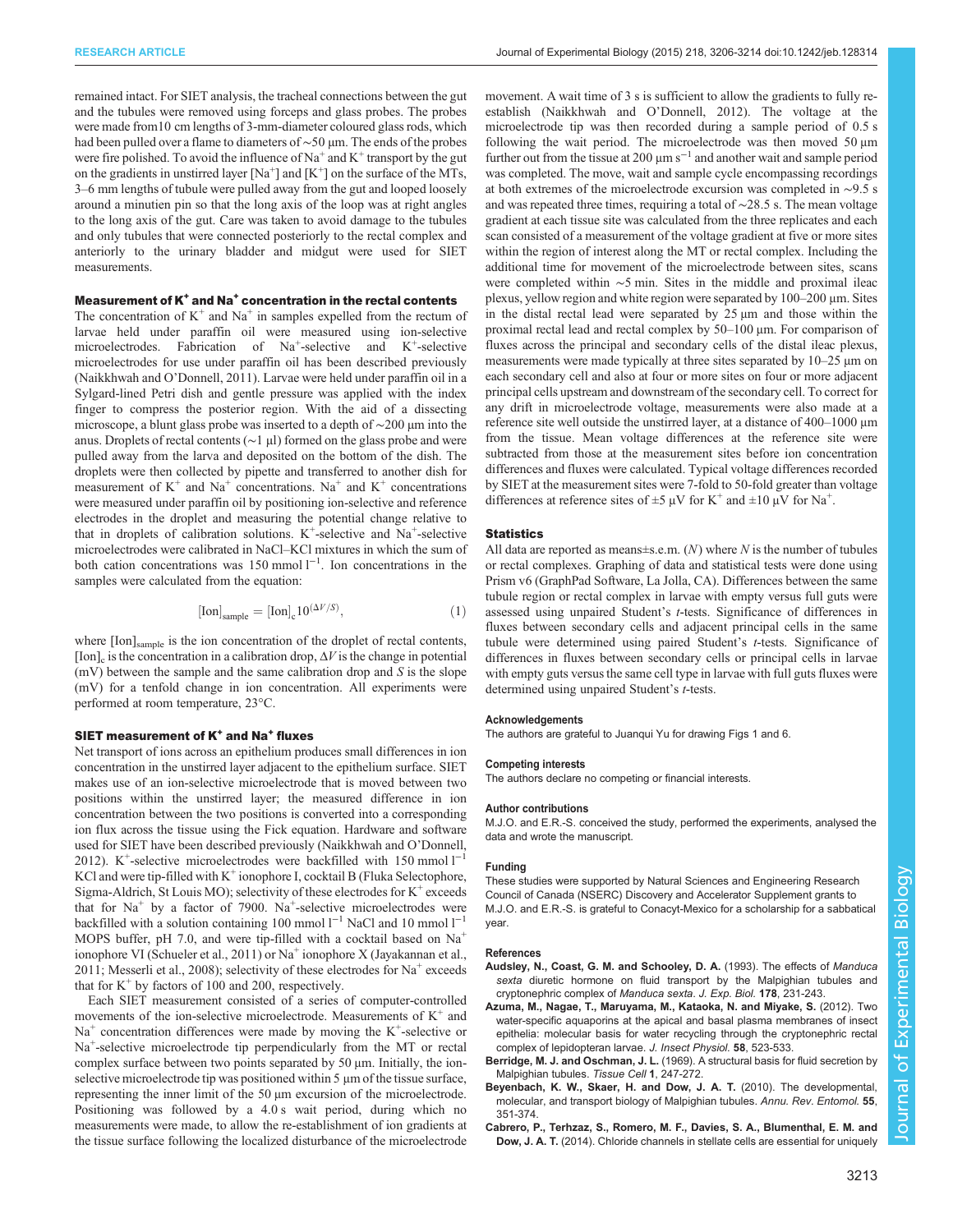<span id="page-7-0"></span>remained intact. For SIET analysis, the tracheal connections between the gut and the tubules were removed using forceps and glass probes. The probes were made from10 cm lengths of 3-mm-diameter coloured glass rods, which had been pulled over a flame to diameters of ∼50 µm. The ends of the probes were fire polished. To avoid the influence of  $Na^+$  and  $K^+$  transport by the gut on the gradients in unstirred layer [Na<sup>+</sup>] and [K<sup>+</sup>] on the surface of the MTs, 3–6 mm lengths of tubule were pulled away from the gut and looped loosely around a minutien pin so that the long axis of the loop was at right angles to the long axis of the gut. Care was taken to avoid damage to the tubules and only tubules that were connected posteriorly to the rectal complex and anteriorly to the urinary bladder and midgut were used for SIET measurements.

### Measurement of  $K^+$  and Na<sup>+</sup> concentration in the rectal contents

The concentration of  $K^+$  and Na<sup>+</sup> in samples expelled from the rectum of larvae held under paraffin oil were measured using ion-selective microelectrodes. Fabrication of Na<sup>+</sup>-selective and K<sup>+</sup>-selective microelectrodes for use under paraffin oil has been described previously ([Naikkhwah and O](#page-8-0)'Donnell, 2011). Larvae were held under paraffin oil in a Sylgard-lined Petri dish and gentle pressure was applied with the index finger to compress the posterior region. With the aid of a dissecting microscope, a blunt glass probe was inserted to a depth of ∼200 µm into the anus. Droplets of rectal contents (∼1 µl) formed on the glass probe and were pulled away from the larva and deposited on the bottom of the dish. The droplets were then collected by pipette and transferred to another dish for measurement of  $K^+$  and  $Na^+$  concentrations. Na<sup>+</sup> and  $K^+$  concentrations were measured under paraffin oil by positioning ion-selective and reference electrodes in the droplet and measuring the potential change relative to that in droplets of calibration solutions.  $K^+$ -selective and  $Na^+$ -selective microelectrodes were calibrated in NaCl–KCl mixtures in which the sum of both cation concentrations was 150 mmol  $l^{-1}$ . Ion concentrations in the samples were calculated from the equation:

$$
[\text{Ion}]_{\text{sample}} = [\text{Ion}]_{\text{c}} 10^{(\Delta V/S)},\tag{1}
$$

where [Ion]<sub>sample</sub> is the ion concentration of the droplet of rectal contents, [Ion]<sub>c</sub> is the concentration in a calibration drop,  $\Delta V$  is the change in potential  $(mV)$  between the sample and the same calibration drop and S is the slope (mV) for a tenfold change in ion concentration. All experiments were performed at room temperature, 23°C.

### SIET measurement of  $K^+$  and Na<sup>+</sup> fluxes

Net transport of ions across an epithelium produces small differences in ion concentration in the unstirred layer adjacent to the epithelium surface. SIET makes use of an ion-selective microelectrode that is moved between two positions within the unstirred layer; the measured difference in ion concentration between the two positions is converted into a corresponding ion flux across the tissue using the Fick equation. Hardware and software used for SIET have been described previously ([Naikkhwah and O](#page-8-0)'Donnell, [2012](#page-8-0)). K<sup>+</sup>-selective microelectrodes were backfilled with 150 mmol  $l^{-1}$ KCl and were tip-filled with  $K^+$  ionophore I, cocktail B (Fluka Selectophore, Sigma-Aldrich, St Louis MO); selectivity of these electrodes for  $K^+$  exceeds that for  $Na<sup>+</sup>$  by a factor of 7900.  $Na<sup>+</sup>$ -selective microelectrodes were backfilled with a solution containing 100 mmol  $l^{-1}$  NaCl and 10 mmol  $l^{-1}$ MOPS buffer, pH 7.0, and were tip-filled with a cocktail based on  $Na<sup>+</sup>$ ionophore VI [\(Schueler et al., 2011](#page-8-0)) or  $Na<sup>+</sup>$  ionophore X ([Jayakannan et al.,](#page-8-0) [2011](#page-8-0); [Messerli et al., 2008](#page-8-0)); selectivity of these electrodes for  $Na<sup>+</sup>$  exceeds that for  $K^+$  by factors of 100 and 200, respectively.

Each SIET measurement consisted of a series of computer-controlled movements of the ion-selective microelectrode. Measurements of  $K^+$  and  $Na<sup>+</sup>$  concentration differences were made by moving the  $K<sup>+</sup>$ -selective or Na<sup>+</sup>-selective microelectrode tip perpendicularly from the MT or rectal complex surface between two points separated by 50 μm. Initially, the ionselective microelectrode tip was positioned within 5 μm of the tissue surface, representing the inner limit of the 50 μm excursion of the microelectrode. Positioning was followed by a 4.0 s wait period, during which no measurements were made, to allow the re-establishment of ion gradients at the tissue surface following the localized disturbance of the microelectrode

movement. A wait time of 3 s is sufficient to allow the gradients to fully reestablish ([Naikkhwah and O](#page-8-0)'Donnell, 2012). The voltage at the microelectrode tip was then recorded during a sample period of 0.5 s following the wait period. The microelectrode was then moved 50 μm further out from the tissue at 200  $\mu$ m s<sup> $-1$ </sup> and another wait and sample period was completed. The move, wait and sample cycle encompassing recordings at both extremes of the microelectrode excursion was completed in ∼9.5 s and was repeated three times, requiring a total of ∼28.5 s. The mean voltage gradient at each tissue site was calculated from the three replicates and each scan consisted of a measurement of the voltage gradient at five or more sites within the region of interest along the MT or rectal complex. Including the additional time for movement of the microelectrode between sites, scans were completed within ∼5 min. Sites in the middle and proximal ileac plexus, yellow region and white region were separated by 100–200 μm. Sites in the distal rectal lead were separated by 25 μm and those within the proximal rectal lead and rectal complex by 50–100 μm. For comparison of fluxes across the principal and secondary cells of the distal ileac plexus, measurements were made typically at three sites separated by 10–25 μm on each secondary cell and also at four or more sites on four or more adjacent principal cells upstream and downstream of the secondary cell. To correct for any drift in microelectrode voltage, measurements were also made at a reference site well outside the unstirred layer, at a distance of 400–1000 μm from the tissue. Mean voltage differences at the reference site were subtracted from those at the measurement sites before ion concentration differences and fluxes were calculated. Typical voltage differences recorded by SIET at the measurement sites were 7-fold to 50-fold greater than voltage differences at reference sites of  $\pm 5 \mu V$  for K<sup>+</sup> and  $\pm 10 \mu V$  for Na<sup>+</sup>.

### **Statistics**

All data are reported as means $\pm$ s.e.m. (N) where N is the number of tubules or rectal complexes. Graphing of data and statistical tests were done using Prism v6 (GraphPad Software, La Jolla, CA). Differences between the same tubule region or rectal complex in larvae with empty versus full guts were assessed using unpaired Student's t-tests. Significance of differences in fluxes between secondary cells and adjacent principal cells in the same tubule were determined using paired Student's *t*-tests. Significance of differences in fluxes between secondary cells or principal cells in larvae with empty guts versus the same cell type in larvae with full guts fluxes were determined using unpaired Student's t-tests.

### Acknowledgements

The authors are grateful to Juanqui Yu for drawing [Figs 1](#page-1-0) and [6.](#page-5-0)

#### Competing interests

The authors declare no competing or financial interests.

#### Author contributions

M.J.O. and E.R.-S. conceived the study, performed the experiments, analysed the data and wrote the manuscript.

#### Funding

These studies were supported by Natural Sciences and Engineering Research Council of Canada (NSERC) Discovery and Accelerator Supplement grants to M.J.O. and E.R.-S. is grateful to Conacyt-Mexico for a scholarship for a sabbatical year.

#### References

- Audsley, N., Coast, G. M. and Schooley, D. A. (1993). The effects of Manduca sexta diuretic hormone on fluid transport by the Malpighian tubules and cryptonephric complex of Manduca sexta. J. Exp. Biol. 178, 231-243.
- [Azuma, M., Nagae, T., Maruyama, M., Kataoka, N. and Miyake, S.](http://dx.doi.org/10.1016/j.jinsphys.2012.01.007) (2012). Two [water-specific aquaporins at the apical and basal plasma membranes of insect](http://dx.doi.org/10.1016/j.jinsphys.2012.01.007) [epithelia: molecular basis for water recycling through the cryptonephric rectal](http://dx.doi.org/10.1016/j.jinsphys.2012.01.007) [complex of lepidopteran larvae.](http://dx.doi.org/10.1016/j.jinsphys.2012.01.007) J. Insect Physiol. 58, 523-533.
- Berridge, M. J. and Oschman, J. L. [\(1969\). A structural basis for fluid secretion by](http://dx.doi.org/10.1016/S0040-8166(69)80025-X) [Malpighian tubules.](http://dx.doi.org/10.1016/S0040-8166(69)80025-X) Tissue Cell 1, 247-272.
- [Beyenbach, K. W., Skaer, H. and Dow, J. A. T.](http://dx.doi.org/10.1146/annurev-ento-112408-085512) (2010). The developmental, [molecular, and transport biology of Malpighian tubules.](http://dx.doi.org/10.1146/annurev-ento-112408-085512) Annu. Rev. Entomol. 55, [351-374.](http://dx.doi.org/10.1146/annurev-ento-112408-085512)
- [Cabrero, P., Terhzaz, S., Romero, M. F., Davies, S. A., Blumenthal, E. M. and](http://dx.doi.org/10.1073/pnas.1412706111) Dow, J. A. T. [\(2014\). Chloride channels in stellate cells are essential for uniquely](http://dx.doi.org/10.1073/pnas.1412706111)